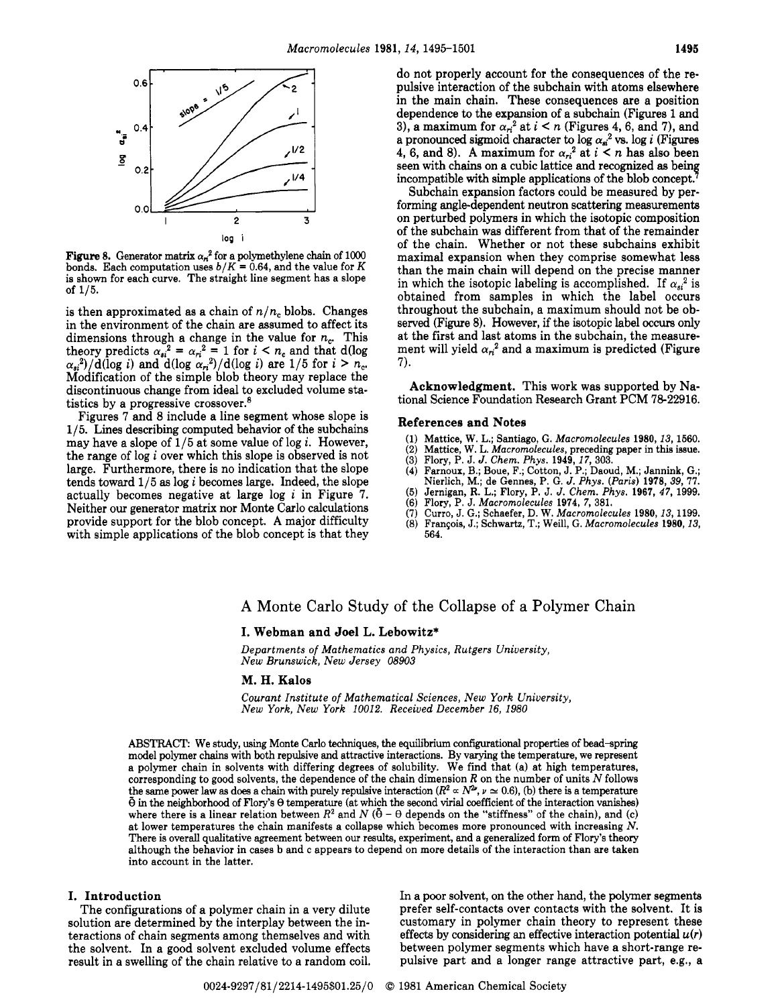

**Figure 8.** Generator matrix  $\alpha_n^2$  for a polymethylene chain of 1000 bonds. Each computation uses  $b/K = 0.64$ , and the value for *K* is shown for each curve. The straight line segment has a slope of **115.** 

is then approximated as a chain of *n/n,* blobs. Changes in the environment of the chain are assumed to affect its dimensions through a change in the value for  $n_c$ . This theory predicts  $\alpha_{si}^2 = \alpha_{ri}^2 = 1$  for  $i < n_c$  and that d(log  $\alpha_{si}^2$ )/d(log *i*) and d(log  $\alpha_{ri}^2$ )/d(log *i*) are 1/5 for  $i > n_c$ . Modification of the simple blob theory may replace the discontinuous change from ideal to excluded volume statistics by a progressive crossover.<sup>8</sup>

Figures **7** and 8 include a line segment whose slope is **1/5.** Lines describing computed behavior of the subchains may have a slope of **1/5** at some value of log *i.* However, the range of log *i* over which this slope is observed is not large. Furthermore, there is no indication that the slope tends toward **1/5 as** log *i* becomes large. Indeed, the slope actually becomes negative at large log i in Figure **7.**  Neither our generator matrix nor Monte Carlo calculations provide support for the blob concept. **A** major difficulty with simple applications of the blob concept is that they do not properly account for the consequences of the repulsive interaction of the subchain with atoms elsewhere in the main chain. These consequences are a position dependence to the expansion of a subchain (Figures 1 and 3), a maximum for  $\alpha_n^2$  at  $i < n$  (Figures 4, 6, and 7), and a pronounced sigmoid character to  $\log \alpha_a^2$  vs.  $\log i$  (Figures **4, 6, and 8).** A maximum for  $\alpha_{ri}^2$  at  $i \leq n$  has also been seen with chains on a cubic lattice and recognized **as** bein incompatible with simple applications of the blob concept.<sup>7</sup>

Subchain expansion factors could be measured by performing angle-dependent neutron scattering measurements on perturbed polymers in which the isotopic composition of the subchain was different from that of the remainder of the chain. Whether or not these subchains exhibit maximal expansion when they comprise somewhat less than the main chain will depend on the precise manner in which the isotopic labeling is accomplished. If  $\alpha_{si}^2$  is obtained from samples in which the label occurs throughout the subchain, a maximum should not be observed (Figure 8). However, if the isotopic label *occurs* only at the first and last atoms in the subchain, the measurement will yield  $\alpha_{ri}^2$  and a maximum is predicted (Figure **7).** 

Acknowledgment. This work was supported by National Science Foundation Research Grant PCM 78-22916.

#### References and Notes

- **(1)** Mattice, W. **L.;** Santiago, G. *Macromolecules* **1980,13, 1560.**
- *(2)* Mattice, W. L. *Macromolecules,* preceding paper in this issue. **(3)** Flory, P. J. *J. Chem. Phys.* **1949, 17, 303.**
- 
- **(4)** Farnoux, B.; Boue, F.; Cotton, J. P.; Daoud, M.; Jannink, G.;
- Nierlich, M.; de Gennes, P. G. *J. Phys. (Paris)* **1978, 39,** *77.*  **(5)** Jernigan, **R. L.;** Flory, P. J. *J. Chem. Phys.* **1967, 47, 1999.**
- **(6)** Flory, **P.** J. *Macromolecules* **1974, 7, 381.**
- 
- **(7)** Curro, J. G.; Schaefer, D. W. *Macromolecules* **1980, 13,1199.**  *(8)* Franeois, **J.;** Schwartz, T.; Weill, G. *Macromolecules* **1980,13, 564.**

# **A** Monte Carlo Study of the Collapse of a Polymer Chain

## **I.** Webman and Joel L. Lebowitz\*

*Departments of Mathematics and Physics, Rutgers University, New Brunswick, New Jersey* 08903

## **M. H.** Kalos

*Courant Institute of Mathematical Sciences, New York University, New York, New York* **10012.** *Received December 16,* **1980** 

ABSTRACT: We study, using Monte Carlo techniques, the equilibrium configurational properties of bead-spring model polymer chains with both repulsive and attractive interactions. By varying the temperature, we represent a polymer chain in solvents with differing degrees of solubility. We find that (a) at high temperatures, corresponding to good solvents, the dependence of the chain dimension *R* on the number of units *N* follows the same power law as does a chain with purely repulsive interaction  $(R^2 \propto N^2, \nu \simeq 0.6)$ , (b) there is a temperature  $\tilde{\theta}$  in the neighborhood of Flory's  $\theta$  temperature (at which the second virial coefficient of where there is a linear relation between  $R^2$  and  $N$  ( $\bar{\theta}$  –  $\theta$  depends on the "stiffness" of the chain), and (c) at lower temperatures the chain manifests a collapse which becomes more pronounced with increasing *N.*  There is overall qualitative agreement between our results, experiment, and a generalized form of Flory's theory although the behavior in cases b and c appears to depend on more details of the interaction than are taken into account in the latter.

## I. Introduction

The configurations of a polymer chain in a very dilute solution are determined by the interplay between the interactions of chain segments among themselves and with the solvent. In a good solvent excluded volume effects result in a swelling of the chain relative to a random coil. In a poor solvent, on the other hand, the polymer segments prefer self-contacts over contacts with the solvent. It is customary in polymer chain theory to represent these effects by considering an effective interaction potential  $u(r)$ between polymer segments which have a short-range repulsive part and a longer range attractive part, e.g., a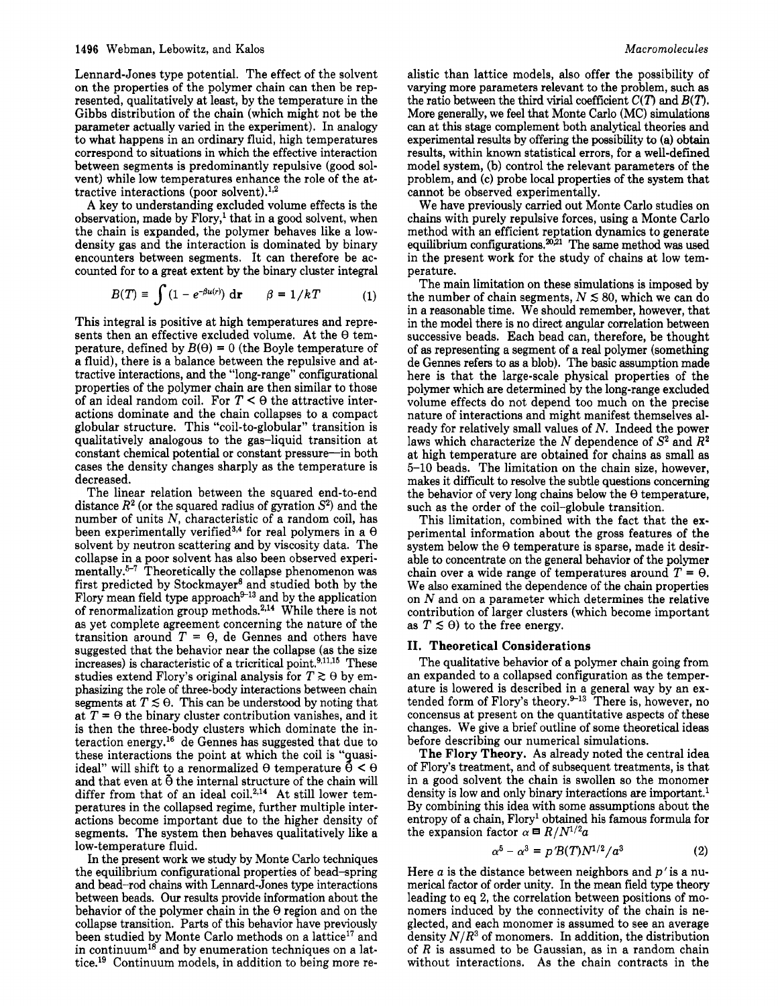Lennard-Jones type potential. The effect of the solvent on the properties of the polymer chain can then be represented, qualitatively at least, by the temperature in the Gibbs distribution of the chain (which might not be the parameter actually varied in the experiment). In analogy to what happens in an ordinary fluid, high temperatures correspond to situations in which the effective interaction between segments is predominantly repulsive (good solvent) while low temperatures enhance the role of the attractive interactions (poor solvent). $^{1,2}$ 

**A** key to understanding excluded volume effects is the observation, made by  $Flory<sup>1</sup>$  that in a good solvent, when the chain is expanded, the polymer behaves like a lowdensity gas and the interaction is dominated by binary encounters between segments. It can therefore be accounted for to a great extent by the binary cluster integral

$$
B(T) \equiv \int (1 - e^{-\beta u(r)}) dr \qquad \beta = 1/kT \qquad (1)
$$

This integral is positive at high temperatures and represents then an effective excluded volume. At the *8* temperature, defined by  $B(\theta) = 0$  (the Boyle temperature of a fluid), there is a balance between the repulsive and attractive interactions, and the "long-range" configurational properties of the polymer chain are then similar to those of an ideal random coil. For  $T < \theta$  the attractive interactions dominate and the chain collapses to a compact globular structure. This "coil-to-globular" transition is qualitatively analogous to the gas-liquid transition at constant chemical potential or constant pressure-in both cases the density changes sharply as the temperature is decreased.

The linear relation between the squared end-to-end distance  $R^2$  (or the squared radius of gyration  $S^2$ ) and the number of units *N,* characteristic of a random coil, has been experimentally verified<sup>3,4</sup> for real polymers in a  $\theta$ solvent by neutron scattering and by viscosity data. The collapse in a poor solvent has also been observed experimentally.<sup>5-7</sup> Theoretically the collapse phenomenon was first predicted by Stockmayer8 and studied both by the Flory mean field type approach $4^{9-13}$  and by the application of renormalization group methods. $2.14$  While there is not as yet complete agreement concerning the nature of the transition around  $T = \Theta$ , de Gennes and others have suggested that the behavior near the collapse (as the size increases) is characteristic of a tricritical point. $9,11,15$  These studies extend Flory's original analysis for  $T \gtrsim \theta$  by emphasizing the role of three-body interactions between chain segments at  $T \lesssim \theta$ . This can be understood by noting that at  $T = \Theta$  the binary cluster contribution vanishes, and it is then the three-body clusters which dominate the interaction energy.16 de Gennes has suggested that due to these interactions the point at which the coil is "guasiideal" will shift to a renormalized  $\theta$  temperature  $\ddot{\theta} < \theta$ and that even at  $\tilde{\theta}$  the internal structure of the chain will differ from that of an ideal coil. $^{2,14}$  At still lower temperatures in the collapsed regime, further multiple interactions become important due to the higher density of segments. The system then behaves qualitatively like a low-temperature fluid.

In the present work we study by Monte Carlo techniques the equilibrium configurational properties of bead-spring and bead-rod chains with Lennard-Jones type interactions between beads. Our results provide information about the behavior of the polymer chain in the *8* region and on the collapse transition. **Parts** of this behavior have previously been studied by Monte Carlo methods on a lattice<sup>17</sup> and in continuum<sup>18</sup> and by enumeration techniques on a lattice.<sup>19</sup> Continuum models, in addition to being more re-

alistic than lattice models, also offer the possibility of varying more parameters relevant to the problem, such **as**  the ratio between the third virial coefficient  $C(T)$  and  $B(T)$ . More generally, we feel that Monte Carlo (MC) simulations can at this stage complement both analytical theories and experimental results by offering the possibility to (a) obtain results, within known statistical errors, for a well-defined model system, (b) control the relevant parameters of the problem, and (c) probe local properties of the system that cannot be observed experimentally.

We have previously carried out Monte Carlo studies on chains with purely repulsive forces, using a Monte Carlo method with an efficient reptation dynamics to generate equilibrium configurations. $20.21$  The same method was used in the present work for the study of chains at low temperature.

The main limitation on these simulations is imposed by the number of chain segments,  $N \lesssim 80$ , which we can do in a reasonable time. We should remember, however, that in the model there is no direct angular correlation between successive beads. Each bead can, therefore, be thought of **as** representing a segment of a real polymer (something de Gennes refers to **as** a blob). The basic assumption made here is that the large-scale physical properties of the polymer which are determined by the long-range excluded volume effects do not depend too much on the precise nature of interactions and might manifest themselves already for relatively small values of *N.* Indeed the power laws which characterize the *N* dependence of **S2** and *R2*  at high temperature are obtained for chains as small as **5-10** beads. The limitation on the chain size, however, makes it difficult to resolve the subtle questions concerning the behavior of very long chains below the  $\theta$  temperature, such as the order of the coil-globule transition.

This limitation, combined with the fact that the experimental information about the gross features of the system below the *8* temperature is sparse, made it desirable to concentrate on the general behavior of the polymer chain over a wide range of temperatures around  $T = \Theta$ . We also examined the dependence of the chain properties on *N* and on a parameter which determines the relative contribution of larger clusters (which become important as  $T \leq \theta$ ) to the free energy.

### **11.** Theoretical Considerations

The qualitative behavior of a polymer chain going from an expanded to a collapsed configuration as the temperature is lowered is described in a general way by an extended form of Flory's theory.<sup>9-13</sup> There is, however, no concensus at present on the quantitative aspects of these changes. We give a brief outline of some theoretical ideas before describing our numerical simulations.

The Flory Theory. As already noted the central idea of Flory's treatment, and of subsequent treatments, is that in a good solvent the chain is swollen so the monomer density is low and only binary interactions are important.<sup>1</sup> By combining this idea with some assumptions about the entropy of a chain, Flory' obtained his famous formula for the expansion factor  $\alpha \equiv R/N^{1/2}a$ 

$$
\alpha^5 - \alpha^3 = p'B(T)N^{1/2}/a^3 \tag{2}
$$

Here  $a$  is the distance between neighbors and  $p'$  is a numerical factor of order unity. In the mean field type theory leading to eq **2,** the correlation between positions of monomers induced by the connectivity of the chain is neglected, and each monomer is assumed to see an average density  $N/R^3$  of monomers. In addition, the distribution of *R* is assumed to be Gaussian, as in a random chain without interactions. As the chain contracts in the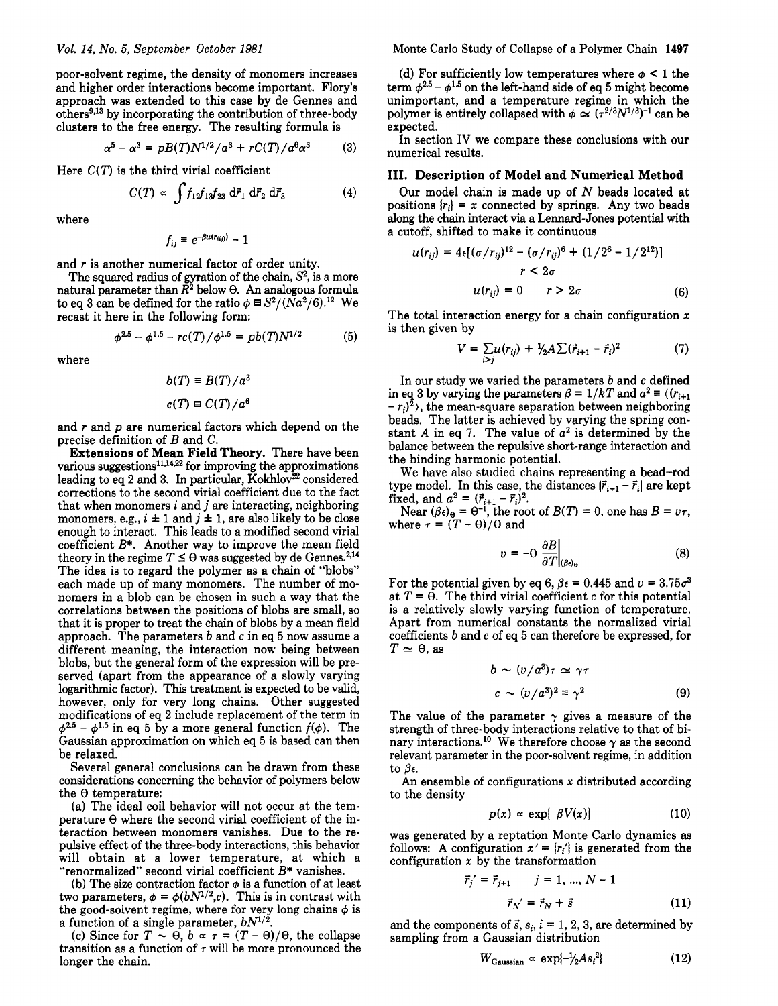poor-solvent regime, the density of monomers increases and higher order interactions become important. Flory's approach was extended to this case by de Gennes and others<sup>9,13</sup> by incorporating the contribution of three-body clusters to the free energy. The resulting formula is

$$
\alpha^5 - \alpha^3 = pB(T)N^{1/2}/a^3 + rC(T)/a^6\alpha^3 \qquad (3)
$$

Here  $C(T)$  is the third virial coefficient

$$
C(T) \propto \int f_{12} f_{13} f_{23} \, d\vec{r}_1 \, d\vec{r}_2 \, d\vec{r}_3 \tag{4}
$$

where

$$
f_{ij} \equiv e^{-\beta u(r_{(ij)})}-1
$$

and *r* is another numerical factor of order unity.

The squared radius of gyration of the chain,  $S<sup>2</sup>$ , is a more natural parameter than  $\tilde{R}^2$  below  $\theta$ . An analogous formula to eq 3 can be defined for the ratio  $\phi = S^2/(Na^2/6).12$  We recast it here in the following form:

$$
\phi^{2.5} - \phi^{1.5} - rc(T)/\phi^{1.5} = pb(T)N^{1/2}
$$
 (5)

where

$$
b(T) \equiv B(T)/a^3
$$

$$
c(T) \equiv C(T)/a^6
$$

and *r* and *p* are numerical factors which depend on the precise definition of *B* and **C.** 

**Extensions of Mean Field Theory.** There have been various suggestions $^{11,14,22}$  for improving the approximations leading to eq 2 and 3. In particular, Kokhlov $^{22}$  considered corrections to the second virial coefficient due to the fact that when monomers *i* and *j* are interacting, neighboring monomers, e.g.,  $i \pm 1$  and  $j \pm 1$ , are also likely to be close enough to interact. This leads to a modified second virial coefficient *B\*.* Another way to improve the mean field theory in the regime  $T \leq \theta$  was suggested by de Gennes.<sup>2,14</sup> The idea is to regard the polymer as a chain of "blobs" each made up of many monomers. The number of monomers in a blob can be chosen in such a way that the correlations between the positions of blobs are small, so that it is proper to treat the chain of blobs by a mean field approach. The parameters *b* and *c* in eq *5* now assume a different meaning, the interaction now being between blobs, but the general form of the expression will be preserved (apart from the appearance of a slowly varying logarithmic factor). This treatment is expected to be valid, however, only for very long chains. Other suggested modifications of eq 2 include replacement of the term in  $\phi^{2.5}$  –  $\phi^{1.5}$  in eq 5 by a more general function  $f(\phi)$ . The Gaussian approximation on which eq **5** is based can then be relaxed.

Several general conclusions can be drawn from these considerations concerning the behavior of polymers below the  $\theta$  temperature:

(a) The ideal coil behavior will not occur at the temperature  $\Theta$  where the second virial coefficient of the interaction between monomers vanishes. Due to the repulsive effect of the three-body interactions, this behavior will obtain at a lower temperature, at which a "renormalized" second virial coefficient *B\** vanishes.

(b) The size contraction factor  $\phi$  is a function of at least two parameters,  $\phi = \phi(bN^{1/2},c)$ . This is in contrast with the good-solvent regime, where for very long chains  $\phi$  is a function of a single parameter,  $bN^{1/2}$ .

(c) Since for  $T \sim \theta$ ,  $b \propto \tau = (T - \theta)/\theta$ , the collapse transition as a function of  $\tau$  will be more pronounced the longer the chain.

Monte Carlo Study of Collapse of a Polymer Chain **1497** 

(d) For sufficiently low temperatures where  $\phi \leq 1$  the term  $\phi^{2.5} - \phi^{1.5}$  on the left-hand side of eq 5 might become unimportant, and a temperature regime in which the polymer is entirely collapsed with  $\phi \simeq (\tau^{2/3}N^{1/3})^{-1}$  can be expected.

In section IV we compare these conclusions with our numerical results.

## **111. Description of Model and Numerical Method**

Our model chain is made up of *N* beads located at positions  ${r_i} = x$  connected by springs. Any two beads along the chain interact via a Lennard-Jones potential with a cutoff, shifted to make it continuous

$$
u(r_{ij}) = 4\epsilon [(\sigma/r_{ij})^{12} - (\sigma/r_{ij})^6 + (1/2^6 - 1/2^{12})]
$$
  

$$
r < 2\sigma
$$
  

$$
u(r_{ij}) = 0 \qquad r > 2\sigma
$$
 (6)

The total interaction energy for a chain configuration **x**  is then given by

$$
V = \sum_{i>j} u(r_{ij}) + \frac{1}{2} A \sum (\vec{r}_{i+1} - \vec{r}_i)^2
$$
 (7)

In our study we varied the parameters *b* and *c* defined in eq 3 by varying the parameters  $\beta = 1/kT$  and  $a^2 \equiv \langle (r_{i+1}) \rangle$  $-r_i$ <sup>2</sup>), the mean-square separation between neighboring beads. The latter is achieved by varying the spring constant A in eq 7. The value of  $a^2$  is determined by the balance between the repulsive short-range interaction and the binding harmonic potential.

We have also studied chains representing a bead-rod type model. In this case, the distances  $|\vec{r}_{i+1} - \vec{r}_i|$  are kept fixed, and  $a^2 = (\vec{r}_{i+1} - \vec{r}_i)^2$ .

Near  $(\beta \epsilon)_{\Theta} = \Theta^{-1}$ , the root of  $B(T) = 0$ , one has  $B = \nu \tau$ , where  $\tau = (T - \Theta)/\Theta$  and

$$
v = -\Theta \left. \frac{\partial B}{\partial T} \right|_{(\beta \epsilon)_\Theta} \tag{8}
$$

For the potential given by eq 6,  $\beta \epsilon = 0.445$  and  $\nu = 3.75\sigma^3$ at  $T = \Theta$ . The third virial coefficient *c* for this potential is a relatively slowly varying function of temperature. Apart from numerical constants the normalized virial coefficients *b* and *c* of eq **5** can therefore be expressed, for  $T \simeq \theta$ , as

$$
b \sim (v/a^3)\tau \simeq \gamma\tau
$$
  

$$
c \sim (v/a^3)^2 \equiv \gamma^2
$$
 (9)

The value of the parameter  $\gamma$  gives a measure of the strength of three-body interactions relative to that of binary interactions.<sup>10</sup> We therefore choose  $\gamma$  as the second relevant parameter in the poor-solvent regime, in addition to  $\beta$ e.

An ensemble of configurations **x** distributed according to the density

$$
p(x) \propto \exp\{-\beta V(x)\}\tag{10}
$$

was generated by a reptation Monte Carlo dynamics as follows: A configuration  $x' = \{r_i\}$  is generated from the configuration **x** by the transformation

$$
\vec{r}_j' = \vec{r}_{j+1} \qquad j = 1, ..., N - 1
$$

$$
\vec{r}_{N'} = \vec{r}_N + \vec{s} \qquad (11)
$$

and the components of  $\vec{s}$ ,  $s_i$ ,  $i = 1, 2, 3$ , are determined by sampling from a Gaussian distribution

$$
W_{\text{Gaussian}} \propto \exp\{-\frac{1}{2}As_i^2\} \tag{12}
$$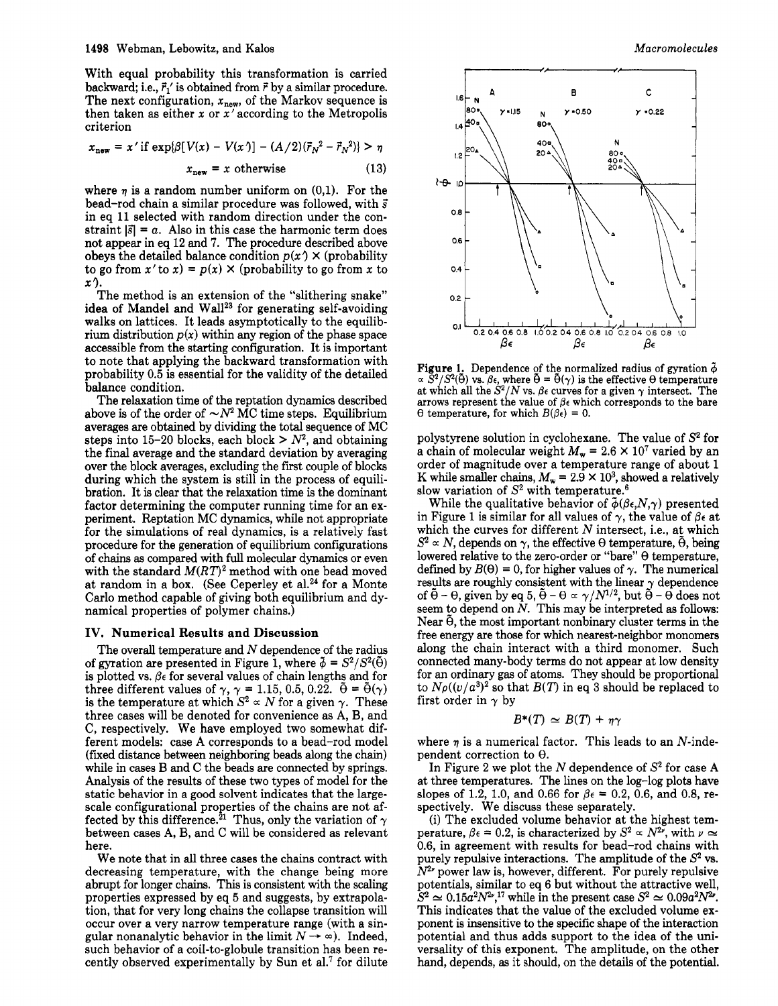With equal probability this transformation is carried backward; i.e.,  $\vec{r}_1$ ' is obtained from  $\vec{r}$  by a similar procedure. The next configuration,  $x_{\text{new}}$ , of the Markov sequence is then taken as either *x* or x'according to the Metropolis criterion

$$
x_{\text{new}} = x' \text{ if } \exp\{\beta[V(x) - V(x')] - (A/2)(\vec{r}_N^2 - \vec{r}_N^2)\} > \eta
$$
\n
$$
x_{\text{new}} = x \text{ otherwise} \tag{13}
$$

where  $\eta$  is a random number uniform on  $(0,1)$ . For the bead-rod chain a similar procedure was followed, with **3**  in eq 11 selected with random direction under the constraint  $|\vec{s}| = a$ . Also in this case the harmonic term does not appear in eq 12 and **7.** The procedure described above obeys the detailed balance condition  $p(x) \times (probability$ to go from  $x'$  to  $x$ ) =  $p(x)$  × (probability to go from x to *<sup>X</sup>*9.

The method is an extension of the "slithering snake" idea of Mandel and Wall<sup>23</sup> for generating self-avoiding walks on lattices. It leads asymptotically to the equilibrium distribution  $p(x)$  within any region of the phase space accessible from the starting configuration. It is important to note that applying the backward transformation with probability 0.5 is essential for the validity of the detailed balance condition.

The relaxation time of the reptation dynamics described above is of the order of  $\sim N^2$  MC time steps. Equilibrium averages are obtained by dividing the **total** sequence of MC steps into 15-20 blocks, each block  $> N^2$ , and obtaining the final average and the standard deviation by averaging over the block averages, excluding the first couple of blocks during which the system is still in the process of equilibration. It is clear that the relaxation time is the dominant factor determining the computer running time for an experiment. Reptation MC dynamics, while not appropriate for the simulations of real dynamics, is a relatively fast procedure for the generation of equilibrium configurations of chains **as** compared with full molecular dynamics or even with the standard  $M(RT)^2$  method with one bead moved at random in a box. (See Ceperley et **al.24** for a Monte Carlo method capable of giving both equilibrium and dynamical properties of polymer chains.)

### **IV. Numerical Results and Discussion**

The overall temperature and  $N$  dependence of the radius of gyration are presented in Figure 1, where  $\tilde{\phi} = S^2/S^2(\tilde{\theta})$ is plotted vs.  $\beta \epsilon$  for several values of chain lengths and for three different values of  $\gamma$ ,  $\gamma = 1.15, 0.5, 0.22$ .  $\tilde{\Theta} = \tilde{\Theta}(\gamma)$ is the temperature at which  $S^2 \propto N$  for a given  $\gamma$ . These three cases will be denoted for convenience as **A,** B, and C, respectively. We have employed two somewhat different models: case A corresponds to a bead-rod model (fixed distance between neighboring beads along the chain) while in cases B and C the beads are connected by springs. Analysis of the results of these two types of model for the static behavior in a good solvent indicates that the largescale configurational properties of the chains are not affected by this difference.<sup>21</sup> Thus, only the variation of  $\gamma$ between cases **A,** B, and C will be considered as relevant here.

We note that in all three cases the chains contract with decreasing temperature, with the change being more abrupt for longer chains. This is consistent with the scaling properties expressed by eq **5** and suggests, by extrapolation, that for very long chains the collapse transition will occur over a very narrow temperature range (with a sintion, that for very long chains the collapse transition will<br>occur over a very narrow temperature range (with a singular nonanalytic behavior in the limit  $N \to \infty$ ). Indeed,<br>such habitation of a sail to glabule transition such behavior of a coil-to-globule transition has been recently observed experimentally by Sun et al.7 for dilute



**Figure 1.** Dependence of the normalized radius of gyration  $\tilde{\phi}$  $\alpha \propto S^2/S^2(\theta)$  vs.  $\beta \epsilon$ , where  $\theta = \theta(\gamma)$  is the effective  $\theta$  temperature at which all the  $S^2/N$  vs.  $\beta \epsilon$  curves for a given  $\gamma$  intersect. The arrows represent the value of  $\beta \epsilon$  which corresponds to the bare arrows represent the value of  $\beta \epsilon$  which corresponds to the bare  $\theta$  temperature, for which  $B(\beta \epsilon) = 0$ .

polystyrene solution in cyclohexane. The value of **S2** for a chain of molecular weight  $M_w = 2.6 \times 10^7$  varied by an order of magnitude over a temperature range of about 1 K while smaller chains,  $M_w = 2.9 \times 10^3$ , showed a relatively slow variation of **S2** with temperature.6

While the qualitative behavior of  $\tilde{\phi}(\beta \epsilon, N, \gamma)$  presented in Figure 1 is similar for all values of  $\gamma$ , the value of  $\beta \epsilon$  at which the curves for different  $N$  intersect, i.e., at which  $S^2 \propto N$ , depends on  $\gamma$ , the effective  $\Theta$  temperature,  $\tilde{\Theta}$ , being lowered relative to the zero-order or "bare"  $\Theta$  temperature, defined by  $B(\theta) = 0$ , for higher values of  $\gamma$ . The numerical results are roughly consistent with the linear  $\gamma$  dependence of  $\tilde{\theta}$  –  $\theta$ , given by eq 5,  $\tilde{\theta}$  –  $\theta \propto \gamma/N^{1/2}$ , but  $\tilde{\theta}$  –  $\theta$  does not seem to depend on *N.* This may be interpreted **as** follows: Near  $\tilde{\theta}$ , the most important nonbinary cluster terms in the free energy are those for which nearest-neighbor monomers along the chain interact with a third monomer. Such connected many-body terms do not appear at low density for an ordinary gas of atoms. They should be proportional to  $N_{\rho}((v/a^3)^2)$  so that  $B(T)$  in eq 3 should be replaced to first order in  $\gamma$  by

$$
B^*(T) \simeq B(T) + \eta \gamma
$$

where  $\eta$  is a numerical factor. This leads to an  $N$ -independent correction to  $\theta$ .

In Figure 2 we plot the  $N$  dependence of  $S^2$  for case A at three temperatures. The lines on the log-log plots have slopes of 1.2, 1.0, and 0.66 for  $\beta \epsilon = 0.2, 0.6$ , and 0.8, respectively. We discuss these separately.

(i) The excluded volume behavior at the highest temperature,  $\beta \epsilon = 0.2$ , is characterized by  $S^2 \propto N^{2\nu}$ , with  $\nu \approx$ 0.6, in agreement with results for bead-rod chains with purely repulsive interactions. The amplitude of the *s2* vs.  $N^{2\nu}$  power law is, however, different. For purely repulsive potentials, similar to eq 6 but without the attractive well,  $S^2 \simeq 0.15a^2N^{2\nu}$ ,<sup>17</sup> while in the present case  $S^2 \simeq 0.09a^2N^{2\nu}$ . This indicates that the value of the excluded volume exponent is insensitive to the specific shape of the interaction potential and thus adds support to the idea of the universality of this exponent. The amplitude, on the other hand, depends, **as** it should, on the details of the potential.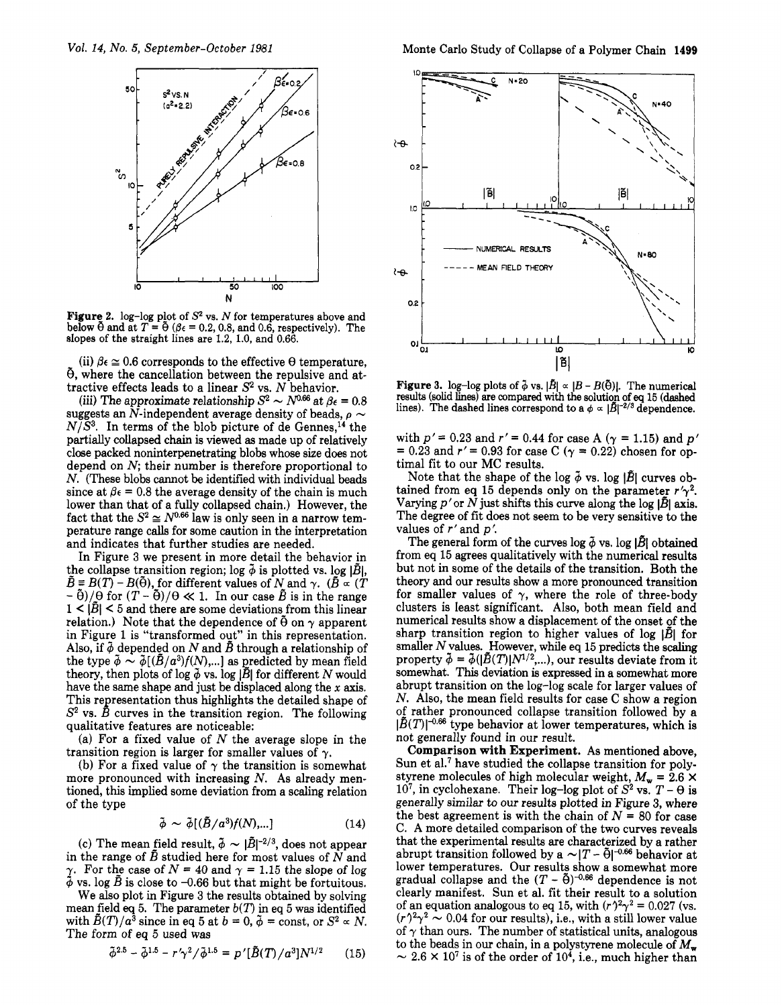

Figure 2.  $\log$ -log plot of  $S^2$  vs.  $N$  for temperatures above and below  $\tilde{\theta}$  and at  $T = \tilde{\theta}$  ( $\beta \epsilon = 0.2, 0.8$ , and 0.6, respectively). The slopes of the straight lines are **1.2,** 1.0, and 0.66.

(ii)  $\beta \epsilon \approx 0.6$  corresponds to the effective  $\theta$  temperature,  $\tilde{\theta}$ , where the cancellation between the repulsive and at-

tractive effects leads to a linear  $S^2$  vs. *N* behavior.<br>
(iii) The approximate relationship  $S^2 \sim N^{0.66}$  at  $\beta \epsilon = 0.8$ (iii) The approximate relationship  $S^2 \sim N^{0.66}$  at  $\beta \epsilon = 0.8$ <br>suggests an N-independent average density of beads,  $\rho \sim N^{1/63}$ . In terms of the blub misture of the General 4.  $N/S<sup>3</sup>$ . In terms of the blob picture of de Gennes,<sup>14</sup> the partially collapsed chain is viewed **as** made up of relatively close packed noninterpenetrating blobs whose size does not depend on *N;* their number is therefore proportional to *N.* (These blobs cannot be identified with individual beads since at  $\beta \epsilon = 0.8$  the average density of the chain is much lower than that of a fully collapsed chain.) However, the fact that the  $S^2 \cong N^{0.66}$  law is only seen in a narrow temperature range calls for some caution in the interpretation and indicates that further studies are needed.

In Figure **3** we present in more detail the behavior in the collapse transition region; log  $\tilde{\phi}$  is plotted vs. log  $|\tilde{B}|$ ,  $\tilde{B} = B(T) - B(\tilde{\theta})$ , for different values of N and  $\gamma$ . ( $\tilde{B} \propto (T)$  $-\tilde{\theta}$ / $\theta$  for  $(T - \tilde{\theta})/\theta \ll 1$ . In our case  $\tilde{B}$  is in the range  $1 < |\tilde{B}| < 5$  and there are some deviations from this linear relation.) Note that the dependence of  $\tilde{\theta}$  on  $\gamma$  apparent in Figure **1** is "transformed out" in this representation. Also, if  $\phi$  depended on N and  $\tilde{B}$  through a relationship of the type  $\tilde{\phi} \sim \tilde{\phi}[(\tilde{B}/a^3)f(N),...]$  as predicted by mean field theory, then plots of  $\log \phi$  vs.  $\log |\bar{B}|$  for different *N* would have the same shape and just be displaced along the *x* axis. This representation thus highlights the detailed shape of **S2** vs. *B* curves in the transition region. The following qualitative features are noticeable:

(a) For a fixed value of *N* the average slope in the transition region is larger for smaller values of  $\gamma$ .

(b) For a fixed value of  $\gamma$  the transition is somewhat more pronounced with increasing *N.* As already mentioned, this implied some deviation from a scaling relation of the type

$$
\tilde{\phi} \sim \tilde{\phi} [(\tilde{B}/a^3) f(N),...]
$$
 (14)

(c) The mean field result,  $\tilde{\phi} \sim |\tilde{B}|^{-2/3}$ , does not appear in the range of *B* studied here for most values of *N* and  $\gamma$ . For the case of *N* = 40 and  $\gamma$  = 1.15 the slope of log  $\phi$  vs. log  $\tilde{B}$  is close to -0.66 but that might be fortuitous.

We also plot in Figure **3** the results obtained by solving mean field eq 5. The parameter  $b(T)$  in eq 5 was identified with  $\tilde{B}(T)/a^3$  since in eq 5 at  $b = 0$ ,  $\tilde{\phi} = \text{const}$ , or  $S^2 \propto N$ . The form **of** eq **5** used was

$$
\tilde{\phi}^{2.5} - \tilde{\phi}^{1.5} - r'\gamma^2/\tilde{\phi}^{1.5} = p'[\tilde{B}(T)/a^3]N^{1/2} \qquad (15)
$$



Figure 3.  $\log$ -log plots of  $\bar{\phi}$  vs.  $|\bar{B}| \propto |B - B(\bar{\theta})|$ . The numerical results (solid lines) are compared with the solution of eq 15 (dashed lines). The dashed lines correspond to a  $\phi \propto |\vec{B}|^{-2/3}$  dependence.

with  $p' = 0.23$  and  $r' = 0.44$  for case A ( $\gamma = 1.15$ ) and  $p' = 0.23$  and  $r' = 0.93$  for case C ( $\gamma = 0.22$ ) chosen for optimal fit to our MC results.

Note that the shape of the log  $\tilde{\phi}$  vs. log  $|\tilde{B}|$  curves obtained from eq 15 depends only on the parameter  $r'\gamma^2$ . Varying  $p'$  or  $N$  just shifts this curve along the log  $|\tilde{B}|$  axis. The degree of fit does not seem to be very sensitive to the values of r' and p'.

The general form of the curves log  $\tilde{\phi}$  vs. log  $|\tilde{B}|$  obtained from eq **15** agrees qualitatively with the numerical results but not in some of the details of the transition. Both the theory and our results show a more pronounced transition for smaller values of  $\gamma$ , where the role of three-body clusters is least significant. Also, both mean field and numerical results show a displacement of the onset of the sharp transition region to higher values of log *1B1* for smaller *N* values. However, while eq **15** predicts the scaling property  $\tilde{\phi} = \tilde{\phi}(|\tilde{B}(T)|N^{1/2},...)$ , our results deviate from it somewhat. This deviation is expressed in a somewhat more abrupt transition on the log-log scale for larger values of *N.* Also, the mean field results for case C show a region **of** rather pronounced collapse transition followed by a  $|\tilde{B}(T)|^{-0.66}$  type behavior at lower temperatures, which is not generally found in our result.

**Comparison with Experiment. As** mentioned above, Sun et al.<sup>7</sup> have studied the collapse transition for polystyrene molecules of high molecular weight,  $M_w = 2.6 \times$ 10<sup>7</sup>, in cyclohexane. Their log-log plot of  $S^2$  vs.  $T - \theta$  is generally similar to our results plotted in Figure **3,** where the best agreement is with the chain of  $N = 80$  for case C. **A** more detailed comparison of the two curves reveals that the experimental results are characterized by a rather abrupt transition followed by a  $\sim |T - \tilde{\Theta}|^{-0.66}$  behavior at lower temperatures. Our results show a somewhat more gradual collapse and the  $(T - \tilde{\Theta})^{-0.66}$  dependence is not clearly manifest. Sun et al. fit their result to a solution of an equation analogous to eq 15, with  $(r)^2 \gamma^2 = 0.027$  (vs.  $(r)^2 \gamma^2 \sim 0.04$  for our results), i.e., with a still lower value of  $\gamma$  than ours. The number of statistical units, analogous to the beads in our chain, in a polystyrene molecule of  $M_{\rm w}$ <br> $\sim 2.6 \times 10^7$  is of the order of  $10^4$ , i.e., much higher than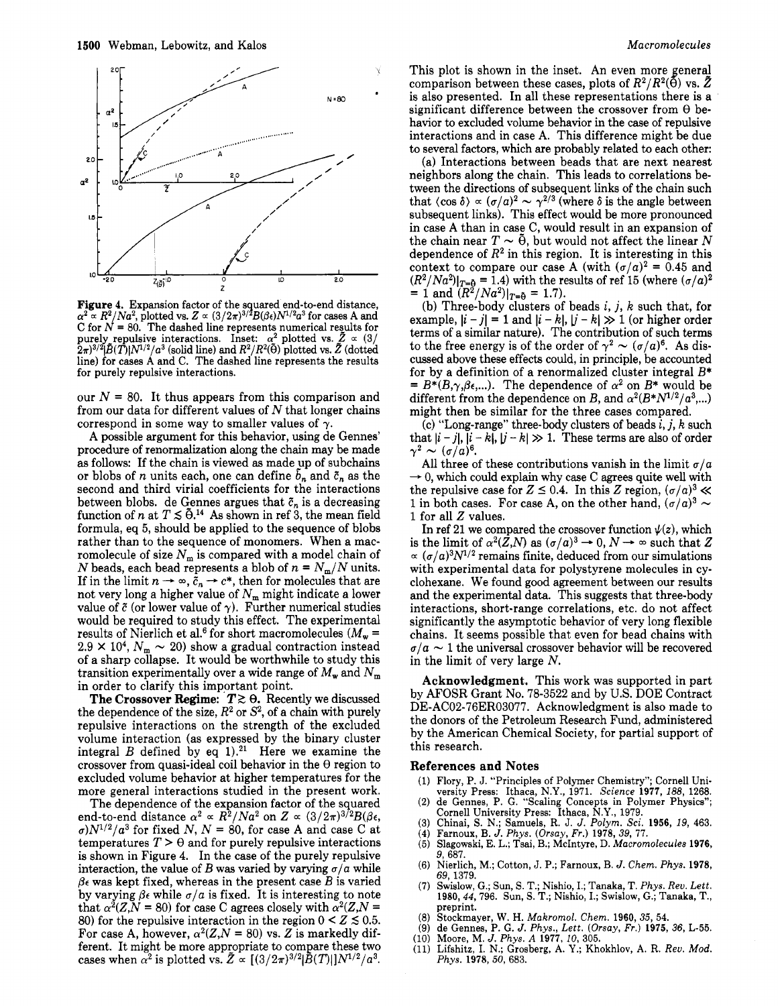

Figure 4. Expansion factor of the squared end-to-end distance, C for  $N = 80$ . The dashed line represents numerical results for purely repulsive interactions. Inset:  $\alpha^2$  plotted vs.  $\tilde{Z} \propto (3/2)$  $(2\pi)^{3/2}$ *j* $\tilde{B}(T)|N^{1/2}/a^3$  (solid line) and  $R^2/R^2$ ( $\tilde{\Theta}$ ) plotted vs.  $\tilde{Z}$  (dotted line) for cases A and C. The dashed line represents the results for purely repulsive interactions. *a a* $R^2/Na^2$ **, plotted vs.** *Z* $\alpha$  **(3/2** $\pi$ **)<sup>3/2</sup>** *B***(***B***<sub>***c***</sub>)***N***<sup>1/2</sup>***a***<sup>3</sup> for cases A and** 

our  $N = 80$ . It thus appears from this comparison and from our data for different values of *N* that longer chains correspond in some way to smaller values of  $\gamma$ .

A possible argument for this behavior, using de Gennes' procedure of renormalization along the chain may be made **as** follows: If the chain is viewed **as** made\_up of subchains or blobs of *n* units each, one can define  $\bar{b}_n$  and  $\bar{c}_n$  as the second and third virial coefficients for the interactions between blobs. de Gennes argues that  $\tilde{c}_n$  is a decreasing function of *n* at  $T \leq \tilde{\theta}$ .<sup>14</sup> As shown in ref 3, the mean field formula, eq 5, should be applied to the sequence of blobs rather than to the sequence of monomers. When a macromolecule of size  $N_m$  is compared with a model chain of *N* beads, each bead represents a blob of  $n = N_m/N$  units. romolecule of size  $N_m$  is compared with a model chain of  $N$  beads, each bead represents a blob of  $n = N_m/N$  units.<br>If in the limit  $n \to \infty$ ,  $\tilde{c}_n \to c^*$ , then for molecules that are If in the limit  $n \to \infty$ ,  $\tilde{c}_n \to c^*$ , then for molecules that are not very long a higher value of  $N_m$  might indicate a lower value of  $\tilde{c}$  (or lower value of  $\gamma$ ). Further numerical studies would be required to study this effect. The experimental results of Nierlich et al.<sup>6</sup> for short macromolecules  $(M_{\rm w} =$ results of Nierlich et al.<sup>6</sup> for short macromolecules ( $M_w$  = 2.9 × 10<sup>4</sup>,  $N_m \sim 20$ ) show a gradual contraction instead of a sharp collapse. It would be worthwhile to study this transition experimentally over a wide range of  $M_{\rm w}$  and  $N_{\rm m}$ in order to clarify this important point.

The Crossover Regime:  $T \gtrsim \theta$ . Recently we discussed the dependence of the size,  $R^2$  or  $S^2$ , of a chain with purely repulsive interactions on the strength of the excluded volume interaction (as expressed by the binary cluster integral  $B$  defined by eq 1).<sup>21</sup> Here we examine the crossover from quasi-ideal coil behavior in the *8* region to excluded volume behavior at higher temperatures for the more general interactions studied in the present work.

The dependence of the expansion factor of the squared end-to-end distance  $\alpha^2 \propto R^2/Na^2$  on  $Z \propto (3/2\pi)^{3/2}B(\beta\epsilon,$  $a_0N^{1/2}/a^3$  for fixed *N*,  $N = 80$ , for case A and case C at temperatures  $T > \theta$  and for purely repulsive interactions is shown in Figure 4. In the case of the purely repulsive interaction, the value of *B* was varied by varying  $\sigma/a$  while  $\beta \epsilon$  was kept fixed, whereas in the present case  $B$  is varied by varying  $\beta \epsilon$  while  $\sigma/a$  is fixed. It is interesting to note that  $\alpha^2(Z, N = 80)$  for case C agrees closely with  $\alpha^2(Z, N = 1)$ 80) for the repulsive interaction in the region  $0 < Z \le 0.5$ . For case A, however,  $\alpha^2(Z, N = 80)$  vs. *Z* is markedly different. It might be more appropriate to compare these two cases when  $\alpha^2$  is plotted vs.  $\tilde{Z} \propto [(3/2\pi)^{3/2} \tilde{B}(T)] N^{1/2}/\alpha^3$ .

This plot is shown in the inset. An even more general comparison between these cases, plots of  $R^2/R^2(\bar{\Theta})$  vs.  $\bar{Z}$ is also presented. In all these representations there is a significant difference between the crossover from *8* behavior to excluded volume behavior in the case of repulsive interactions and in case A. This difference might be due to several factors, which are probably related to each other:

(a) Interactions between beads that are next nearest neighbors along the chain. This leads to correlations between the directions of subsequent links of the chain such that  $\langle \cos \delta \rangle \propto (\sigma/a)^2 \sim \gamma^{2/3}$  (where  $\delta$  is the angle between subsequent links). This effect would be more pronounced in case A than in case  $C$ , would result in an expansion of the chain near  $T \sim \tilde{\theta}$ , but would not affect the linear N dependence of  $R^2$  in this region. It is interesting in this context to compare our case A (with  $(\sigma/a)^2 = 0.45$  and  $(R^2/Na^2)|_{T=\tilde{\theta}} = 1.4$ ) with the results of ref 15 (where  $(\sigma/a)^2$ )  $= 1$  and  $(\overline{R^2}/Na^2)|_{T=\tilde{\theta}} = 1.7$ .

(b) Three-body clusters of beads i, *j, k* such that, for example,  $|i - j| = 1$  and  $|i - k|$ ,  $|j - k| \gg 1$  (or higher order terms of a similar nature). The contribution of such terms to the free energy is of the order of  $\gamma^2 \sim (\sigma/a)^6$ . As disto the free energy is of the order of  $\gamma^2 \sim (\sigma/a)^6$ . As discussed above these effects could, in principle, be accounted for by a definition of a renormalized cluster integral  $B^* = B^*(B,\gamma,\beta\epsilon,...)$ . The dependence of  $\alpha^2$  on  $B^*$  would be different from the dependence on *B*, and  $\alpha^2(B*N^{1/2}/a^3,...)$ might then be similar for the three cases compared.

(c) "Long-range" three-body clusters of beads *i, j, k* such that  $|i-j|, |i-k|, |j-k| \gg 1$ . These terms are also of order  $\gamma^2 \sim (\sigma/a)^6$ .

All three of these contributions vanish in the limit  $\sigma/a$ <br>  $\rightarrow 0$ , which could explain why case C agrees quite well with<br>
the repulsive case for *Z*  $\leq$  0.4. In this *Z* region,  $(\sigma/a)^3 \ll$ <br>  $\geq$ <br>  $\sim$  1 in both seem se the repulsive case for  $Z \le 0.4$ . In this Z region,  $(\sigma/a)^3 \ll 1$  in both cases. For case A, on the other hand,  $(\sigma/a)^3 \sim$ **<sup>1</sup>**for all *2* values.

In ref 21 we compared the crossover function  $\psi(z)$ , which is the limit of  $\alpha^2(\bar{Z},N)$  as  $(\sigma/a)^3 \to 0$ ,  $N \to \infty$  such that  $Z \propto (\sigma/a)^3 N^{1/2}$  remains finite, deduced from our simulations with experimental data for polystyrene molecules in cyclohexane. We found good agreement between our results and the experimental data. This suggests that three-body interactions, short-range correlations, etc. do not affect significantly the asymptotic behavior of very long flexible chains. It seems possible that even for bead chains with  $\sigma/a \sim 1$  the universal crossover behavior will be recovered in the limit of very large *N.* 

**Acknowledgment.** This work was supported in part by AFOSR Grant No. 78-3522 and by US. DOE Contract DE-AC02-76ER03077. Acknowledgment is also made to the donors of the Petroleum Research Fund, administered by the American Chemical Society, for partial support of this research.

#### **References and Notes**

- **(1)** Flory, P. J. "Principles of Polymer Chemistry"; Cornell University Press: Ithaca, N.Y., **1971.** *Science* **1977,** 188, **1268.**
- (2) de Gennes, P. G. "Scaling Concepts in Polymer Physics"; Cornell University Press: Ithaca, N.Y., 1979.
- (3) Chinai, S. N.; Samuels, R. J. J. *Polyrn. Sci.* **1956,** 19, **463.**
- **(4)** Farnoux. B. J. *Phvs. (Orsav. Fr.)* **1978. 39. 77. (5)** Slagowski, **E.** L.; Tsai,'B.; McIntyre, D. *hfacrornolecules* **1976,**  9, **687.**
- **(6)** Nierlich, M.; Cotton, J. P.; Farnoux, B. J. *Chern. Phys.* **1978, 69, 1379.**
- **(7)** Swislow, **G.;** Sun, S. T.; Nishio, I.; Tanaka, T. *Phys. Rev. Lett.*  **1980, 44, 796.** Sun, **S. T.;** Nishio, I.; Swislow, G.; Tanaka, T., preprint.
- (8) Stockmayer, W. H. *Makrornol. Chern.* **1960, 35, 54.**
- **(9)** de Gennes, P. G. J. *Phys., Lett. (Orsay, Fr.)* **1975, 36, L-55. (10)** Moore. M. J. *Phvs. A* **1977.** *10.* **305.**
- 
- **(11)** Lifshitz, I. N.; Grosberg, **A.** Y:; Khokhlov, **A.** R. *Reu. Mod. Phys.* **1978,50,683.**